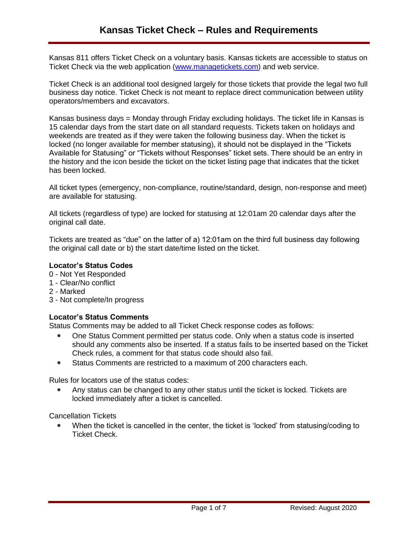Kansas 811 offers Ticket Check on a voluntary basis. Kansas tickets are accessible to status on Ticket Check via the web application [\(www.managetickets.com\)](http://www.managetickets.com/) and web service.

Ticket Check is an additional tool designed largely for those tickets that provide the legal two full business day notice. Ticket Check is not meant to replace direct communication between utility operators/members and excavators.

Kansas business days = Monday through Friday excluding holidays. The ticket life in Kansas is 15 calendar days from the start date on all standard requests. Tickets taken on holidays and weekends are treated as if they were taken the following business day. When the ticket is locked (no longer available for member statusing), it should not be displayed in the "Tickets Available for Statusing" or "Tickets without Responses" ticket sets. There should be an entry in the history and the icon beside the ticket on the ticket listing page that indicates that the ticket has been locked.

All ticket types (emergency, non-compliance, routine/standard, design, non-response and meet) are available for statusing.

All tickets (regardless of type) are locked for statusing at 12:01am 20 calendar days after the original call date.

Tickets are treated as "due" on the latter of a) 12:01am on the third full business day following the original call date or b) the start date/time listed on the ticket.

### **Locator's Status Codes**

- 0 Not Yet Responded
- 1 Clear/No conflict
- 2 Marked
- 3 Not complete/In progress

# **Locator's Status Comments**

Status Comments may be added to all Ticket Check response codes as follows:

- One Status Comment permitted per status code. Only when a status code is inserted should any comments also be inserted. If a status fails to be inserted based on the Ticket Check rules, a comment for that status code should also fail.
- Status Comments are restricted to a maximum of 200 characters each.

Rules for locators use of the status codes:

• Any status can be changed to any other status until the ticket is locked. Tickets are locked immediately after a ticket is cancelled.

Cancellation Tickets

• When the ticket is cancelled in the center, the ticket is 'locked' from statusing/coding to Ticket Check.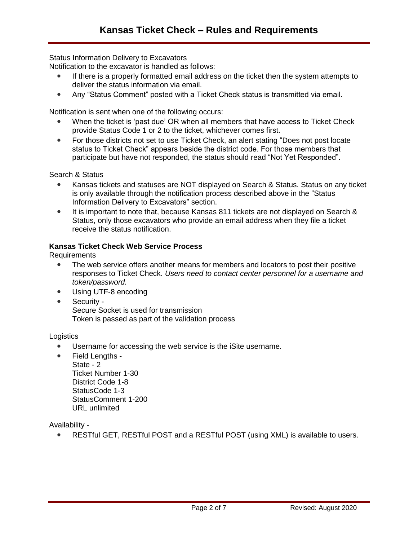Status Information Delivery to Excavators

Notification to the excavator is handled as follows:

- If there is a properly formatted email address on the ticket then the system attempts to deliver the status information via email.
- Any "Status Comment" posted with a Ticket Check status is transmitted via email.

Notification is sent when one of the following occurs:

- When the ticket is 'past due' OR when all members that have access to Ticket Check provide Status Code 1 or 2 to the ticket, whichever comes first.
- For those districts not set to use Ticket Check, an alert stating "Does not post locate status to Ticket Check" appears beside the district code. For those members that participate but have not responded, the status should read "Not Yet Responded".

Search & Status

- Kansas tickets and statuses are NOT displayed on Search & Status. Status on any ticket is only available through the notification process described above in the "Status Information Delivery to Excavators" section.
- It is important to note that, because Kansas 811 tickets are not displayed on Search & Status, only those excavators who provide an email address when they file a ticket receive the status notification.

# **Kansas Ticket Check Web Service Process**

Requirements

- The web service offers another means for members and locators to post their positive responses to Ticket Check. *Users need to contact center personnel for a username and token/password.*
- Using UTF-8 encoding
- Security Secure Socket is used for transmission Token is passed as part of the validation process

**Logistics** 

- Username for accessing the web service is the iSite username.
- Field Lengths State - 2 Ticket Number 1-30 District Code 1-8 StatusCode 1-3 StatusComment 1-200 URL unlimited

Availability -

RESTful GET, RESTful POST and a RESTful POST (using XML) is available to users.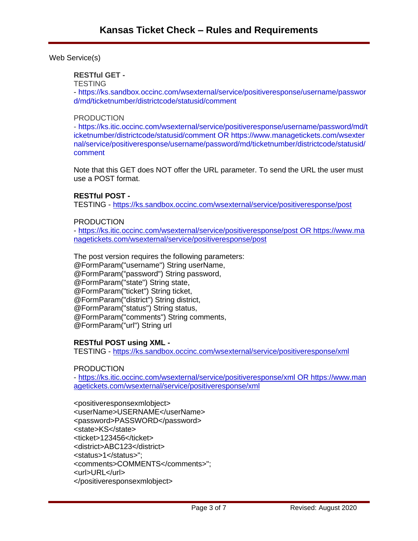Web Service(s)

# **RESTful GET -**

**TESTING** 

- [https://ks.sandbox.occinc.com/wsexternal/service/positiveresponse/username/passwor](https://ks.sandbox.occinc.com/wsexternal/service/positiveresponse/username/password/md/ticketnumber/districtcode/statusid/comment) [d/md/ticketnumber/districtcode/statusid/comment](https://ks.sandbox.occinc.com/wsexternal/service/positiveresponse/username/password/md/ticketnumber/districtcode/statusid/comment)

### **PRODUCTION**

- [https://ks.itic.occinc.com/wsexternal/service/positiveresponse/username/password/md/t](https://ks.itic.occinc.com/wsexternal/service/positiveresponse/username/password/md/ticketnumber/districtcode/statusid/comment) [icketnumber/districtcode/statusid/comment](https://ks.itic.occinc.com/wsexternal/service/positiveresponse/username/password/md/ticketnumber/districtcode/statusid/comment) OR [https://www.managetickets.com/wsexter](https://www.managetickets.com/wsexternal/service/positiveresponse/username/password/md/ticketnumber/districtcode/statusid/comment) [nal/service/positiveresponse/username/password/md/ticketnumber/districtcode/statusid/](https://www.managetickets.com/wsexternal/service/positiveresponse/username/password/md/ticketnumber/districtcode/statusid/comment) [comment](https://www.managetickets.com/wsexternal/service/positiveresponse/username/password/md/ticketnumber/districtcode/statusid/comment)

Note that this GET does NOT offer the URL parameter. To send the URL the user must use a POST format.

### **RESTful POST -**

TESTING - <https://ks.sandbox.occinc.com/wsexternal/service/positiveresponse/post>

### **PRODUCTION**

- <https://ks.itic.occinc.com/wsexternal/service/positiveresponse/post> OR [https://www.ma](https://www.managetickets.com/wsexternal/service/positiveresponse/post) [nagetickets.com/wsexternal/service/positiveresponse/post](https://www.managetickets.com/wsexternal/service/positiveresponse/post)

The post version requires the following parameters: @FormParam("username") String userName, @FormParam("password") String password, @FormParam("state") String state, @FormParam("ticket") String ticket, @FormParam("district") String district, @FormParam("status") String status, @FormParam("comments") String comments, @FormParam("url") String url

### **RESTful POST using XML -**

TESTING - <https://ks.sandbox.occinc.com/wsexternal/service/positiveresponse/xml>

### **PRODUCTION**

- <https://ks.itic.occinc.com/wsexternal/service/positiveresponse/xml> OR [https://www.man](https://www.managetickets.com/wsexternal/service/positiveresponse/xml) [agetickets.com/wsexternal/service/positiveresponse/xml](https://www.managetickets.com/wsexternal/service/positiveresponse/xml)

<positiveresponsexmlobject> <userName>USERNAME</userName> <password>PASSWORD</password> <state>KS</state> <ticket>123456</ticket> <district>ABC123</district> <status>1</status>"; <comments>COMMENTS</comments>"; <url>URL</url> </positiveresponsexmlobject>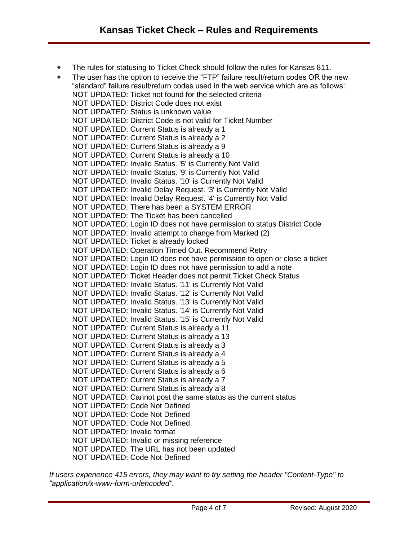• The rules for statusing to Ticket Check should follow the rules for Kansas 811.

• The user has the option to receive the "FTP" failure result/return codes OR the new "standard" failure result/return codes used in the web service which are as follows: NOT UPDATED: Ticket not found for the selected criteria NOT UPDATED: District Code does not exist NOT UPDATED: Status is unknown value NOT UPDATED: District Code is not valid for Ticket Number NOT UPDATED: Current Status is already a 1 NOT UPDATED: Current Status is already a 2 NOT UPDATED: Current Status is already a 9 NOT UPDATED: Current Status is already a 10 NOT UPDATED: Invalid Status. '5' is Currently Not Valid NOT UPDATED: Invalid Status. '9' is Currently Not Valid NOT UPDATED: Invalid Status. '10' is Currently Not Valid NOT UPDATED: Invalid Delay Request. '3' is Currently Not Valid NOT UPDATED: Invalid Delay Request. '4' is Currently Not Valid NOT UPDATED: There has been a SYSTEM ERROR NOT UPDATED: The Ticket has been cancelled NOT UPDATED: Login ID does not have permission to status District Code NOT UPDATED: Invalid attempt to change from Marked (2) NOT UPDATED: Ticket is already locked NOT UPDATED: Operation Timed Out. Recommend Retry NOT UPDATED: Login ID does not have permission to open or close a ticket NOT UPDATED: Login ID does not have permission to add a note NOT UPDATED: Ticket Header does not permit Ticket Check Status NOT UPDATED: Invalid Status. '11' is Currently Not Valid NOT UPDATED: Invalid Status. '12' is Currently Not Valid NOT UPDATED: Invalid Status. '13' is Currently Not Valid NOT UPDATED: Invalid Status. '14' is Currently Not Valid NOT UPDATED: Invalid Status. '15' is Currently Not Valid NOT UPDATED: Current Status is already a 11 NOT UPDATED: Current Status is already a 13 NOT UPDATED: Current Status is already a 3 NOT UPDATED: Current Status is already a 4 NOT UPDATED: Current Status is already a 5 NOT UPDATED: Current Status is already a 6 NOT UPDATED: Current Status is already a 7 NOT UPDATED: Current Status is already a 8 NOT UPDATED: Cannot post the same status as the current status NOT UPDATED: Code Not Defined NOT UPDATED: Code Not Defined NOT UPDATED: Code Not Defined NOT UPDATED: Invalid format NOT UPDATED: Invalid or missing reference NOT UPDATED: The URL has not been updated NOT UPDATED: Code Not Defined

*If users experience 415 errors, they may want to try setting the header "Content-Type" to "application/x-www-form-urlencoded".*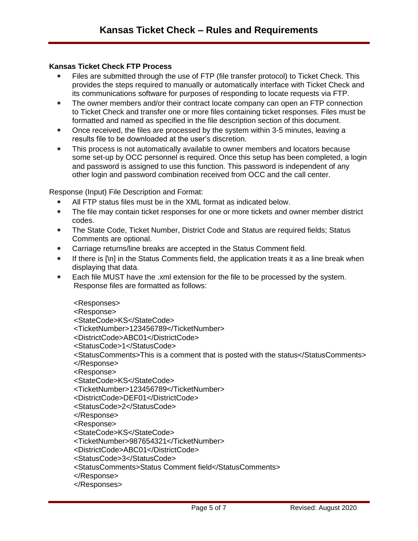## **Kansas Ticket Check FTP Process**

- Files are submitted through the use of FTP (file transfer protocol) to Ticket Check. This provides the steps required to manually or automatically interface with Ticket Check and its communications software for purposes of responding to locate requests via FTP.
- The owner members and/or their contract locate company can open an FTP connection to Ticket Check and transfer one or more files containing ticket responses. Files must be formatted and named as specified in the file description section of this document.
- Once received, the files are processed by the system within 3-5 minutes, leaving a results file to be downloaded at the user's discretion.
- This process is not automatically available to owner members and locators because some set-up by OCC personnel is required. Once this setup has been completed, a login and password is assigned to use this function. This password is independent of any other login and password combination received from OCC and the call center.

Response (Input) File Description and Format:

- All FTP status files must be in the XML format as indicated below.
- The file may contain ticket responses for one or more tickets and owner member district codes.
- The State Code, Ticket Number, District Code and Status are required fields; Status Comments are optional.
- Carriage returns/line breaks are accepted in the Status Comment field.
- If there is  $[\n\ln]$  in the Status Comments field, the application treats it as a line break when displaying that data.
- Each file MUST have the .xml extension for the file to be processed by the system. Response files are formatted as follows:

<Responses> <Response> <StateCode>KS</StateCode> <TicketNumber>123456789</TicketNumber> <DistrictCode>ABC01</DistrictCode> <StatusCode>1</StatusCode> <StatusComments>This is a comment that is posted with the status</StatusComments> </Response> <Response> <StateCode>KS</StateCode> <TicketNumber>123456789</TicketNumber> <DistrictCode>DEF01</DistrictCode> <StatusCode>2</StatusCode> </Response> <Response> <StateCode>KS</StateCode> <TicketNumber>987654321</TicketNumber> <DistrictCode>ABC01</DistrictCode> <StatusCode>3</StatusCode> <StatusComments>Status Comment field</StatusComments>

</Response>

</Responses>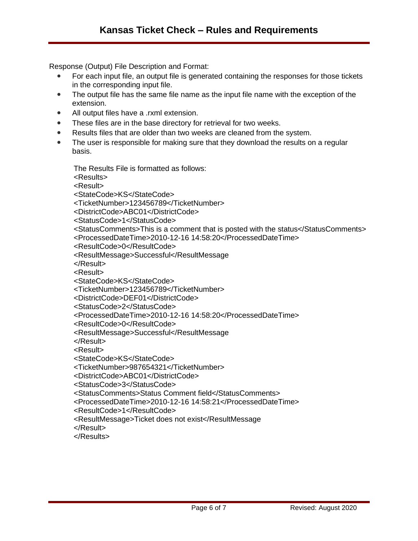Response (Output) File Description and Format:

- For each input file, an output file is generated containing the responses for those tickets in the corresponding input file.
- The output file has the same file name as the input file name with the exception of the extension.
- All output files have a .rxml extension.
- These files are in the base directory for retrieval for two weeks.
- Results files that are older than two weeks are cleaned from the system.
- The user is responsible for making sure that they download the results on a regular basis.

The Results File is formatted as follows:

<Results>

<Result>

<StateCode>KS</StateCode>

<TicketNumber>123456789</TicketNumber>

<DistrictCode>ABC01</DistrictCode>

<StatusCode>1</StatusCode>

<StatusComments>This is a comment that is posted with the status</StatusComments> <ProcessedDateTime>2010-12-16 14:58:20</ProcessedDateTime>

<ResultCode>0</ResultCode>

<ResultMessage>Successful</ResultMessage

</Result>

<Result>

<StateCode>KS</StateCode>

<TicketNumber>123456789</TicketNumber>

<DistrictCode>DEF01</DistrictCode>

<StatusCode>2</StatusCode>

<ProcessedDateTime>2010-12-16 14:58:20</ProcessedDateTime>

<ResultCode>0</ResultCode>

<ResultMessage>Successful</ResultMessage

</Result>

<Result>

<StateCode>KS</StateCode>

<TicketNumber>987654321</TicketNumber>

<DistrictCode>ABC01</DistrictCode>

<StatusCode>3</StatusCode>

<StatusComments>Status Comment field</StatusComments>

<ProcessedDateTime>2010-12-16 14:58:21</ProcessedDateTime>

<ResultCode>1</ResultCode>

<ResultMessage>Ticket does not exist</ResultMessage

</Result>

</Results>